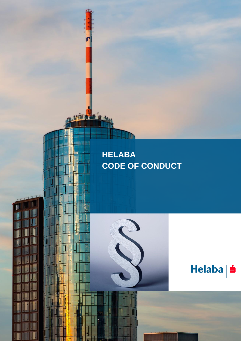# **HELABA CODE OF CONDUCT**

E

Helaba | s

Iľ

in think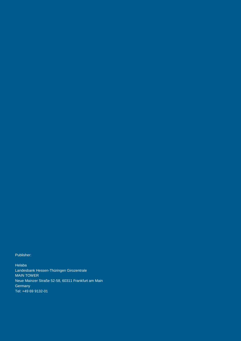Publisher:

Helaba Landesbank Hessen-Thüringen Girozentrale MAIN TOWER Neue Mainzer Straße 52-58, 60311 Frankfurt am Main **Germany** Tel: +49 69 9132-01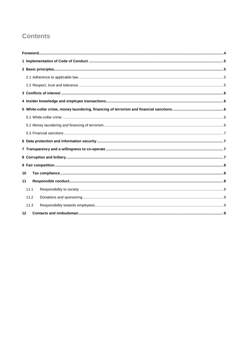## **Contents**

| 10   |  |  |
|------|--|--|
| 11   |  |  |
| 11.1 |  |  |
| 11.2 |  |  |
| 11.3 |  |  |
| 12   |  |  |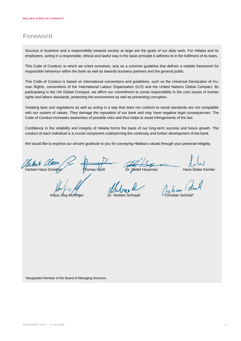### <span id="page-3-0"></span>**Foreword**

Success in business and a responsibility towards society at large are the goals of our daily work. For Helaba and its employees, acting in a responsible, ethical and lawful way is the basic principle it adheres to in the fulfilment of its tasks.

This Code of Conduct, to which we orient ourselves, acts as a common guideline that defines a reliable framework for responsible behaviour within the bank as well as towards business partners and the general public.

This Code of Conduct is based on international conventions and guidelines, such as the Universal Declaration of Human Rights, conventions of the International Labour Organisation (ILO) and the United Nations Global Compact. By participating in the UN Global Compact, we affirm our commitment to social responsibility in the core issues of human rights and labour standards, protecting the environment as well as preventing corruption.

Violating laws and regulations as well as acting in a way that does not conform to social standards are not compatible with our system of values. They damage the reputation of our bank and may have negative legal consequences. The Code of Conduct increases awareness of possible risks and thus helps to avoid infringements of the law.

Confidence in the reliability and integrity of Helaba forms the basis of our long-term success and future growth. The conduct of each individual is a crucial component underpinning the continuity and further development of the bank.

We would like to express our sincere gratitude to you for conveying Helaba's values through your personal integrity.

Halle Mallen Thomas Groß Dr. Detlef Hoseman Hans-Dieter Kemler

Krisun dem X

Kláus-Jörg Mulfinger Dr. Norbert Schraad CChristian Schmid\*

\*designated Member of the Board of Managing Directors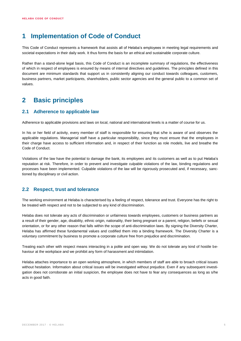### <span id="page-4-0"></span>**1 Implementation of Code of Conduct**

This Code of Conduct represents a framework that assists all of Helaba's employees in meeting legal requirements and societal expectations in their daily work. It thus forms the basis for an ethical and sustainable corporate culture.

Rather than a stand-alone legal basis, this Code of Conduct is an incomplete summary of regulations, the effectiveness of which in respect of employees is ensured by means of internal directives and guidelines. The principles defined in this document are minimum standards that support us in consistently aligning our conduct towards colleagues, customers, business partners, market participants, shareholders, public sector agencies and the general public to a common set of values.

### <span id="page-4-1"></span>**2 Basic principles**

#### <span id="page-4-2"></span>**2.1 Adherence to applicable law**

Adherence to applicable provisions and laws on local, national and international levels is a matter of course for us.

In his or her field of activity, every member of staff is responsible for ensuring that s/he is aware of and observes the applicable regulations. Managerial staff have a particular responsibility, since they must ensure that the employees in their charge have access to sufficient information and, in respect of their function as role models, live and breathe the Code of Conduct.

Violations of the law have the potential to damage the bank, its employees and its customers as well as to put Helaba's reputation at risk. Therefore, in order to prevent and investigate culpable violations of the law, binding regulations and processes have been implemented. Culpable violations of the law will be rigorously prosecuted and, if necessary, sanctioned by disciplinary or civil action.

#### <span id="page-4-3"></span>**2.2 Respect, trust and tolerance**

The working environment at Helaba is characterised by a feeling of respect, tolerance and trust. Everyone has the right to be treated with respect and not to be subjected to any kind of discrimination.

Helaba does not tolerate any acts of discrimination or unfairness towards employees, customers or business partners as a result of their gender, age, disability, ethnic origin, nationality, their being pregnant or a parent, religion, beliefs or sexual orientation, or for any other reason that falls within the scope of anti-discrimination laws. By signing the Diversity Charter, Helaba has affirmed these fundamental values and codified them into a binding framework. The Diversity Charter is a voluntary commitment by business to promote a corporate culture free from prejudice and discrimination.

Treating each other with respect means interacting in a polite and open way. We do not tolerate any kind of hostile behaviour at the workplace and we prohibit any form of harassment and intimidation.

Helaba attaches importance to an open working atmosphere, in which members of staff are able to broach critical issues without hesitation. Information about critical issues will be investigated without prejudice. Even if any subsequent investigation does not corroborate an initial suspicion, the employee does not have to fear any consequences as long as s/he acts in good faith.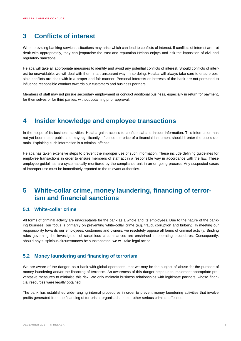### <span id="page-5-0"></span>**3 Conflicts of interest**

When providing banking services, situations may arise which can lead to conflicts of interest. If conflicts of interest are not dealt with appropriately, they can jeopardise the trust and reputation Helaba enjoys and risk the imposition of civil and regulatory sanctions.

Helaba will take all appropriate measures to identify and avoid any potential conflicts of interest. Should conflicts of interest be unavoidable, we will deal with them in a transparent way. In so doing, Helaba will always take care to ensure possible conflicts are dealt with in a proper and fair manner. Personal interests or interests of the bank are not permitted to influence responsible conduct towards our customers and business partners.

Members of staff may not pursue secondary employment or conduct additional business, especially in return for payment, for themselves or for third parties, without obtaining prior approval.

### <span id="page-5-1"></span>**4 Insider knowledge and employee transactions**

In the scope of its business activities, Helaba gains access to confidential and insider information. This information has not yet been made public and may significantly influence the price of a financial instrument should it enter the public domain. Exploiting such information is a criminal offense.

Helaba has taken extensive steps to prevent the improper use of such information. These include defining guidelines for employee transactions in order to ensure members of staff act in a responsible way in accordance with the law. These employee guidelines are systematically monitored by the compliance unit in an on-going process. Any suspected cases of improper use must be immediately reported to the relevant authorities.

### <span id="page-5-2"></span>**5 White-collar crime, money laundering, financing of terrorism and financial sanctions**

#### <span id="page-5-3"></span>**5.1 White-collar crime**

All forms of criminal activity are unacceptable for the bank as a whole and its employees. Due to the nature of the banking business, our focus is primarily on preventing white-collar crime (e.g. fraud, corruption and bribery). In meeting our responsibility towards our employees, customers and owners, we resolutely oppose all forms of criminal activity. Binding rules governing the investigation of suspicious circumstances are enshrined in operating procedures. Consequently, should any suspicious circumstances be substantiated, we will take legal action.

#### <span id="page-5-4"></span>**5.2 Money laundering and financing of terrorism**

We are aware of the danger, as a bank with global operations, that we may be the subject of abuse for the purpose of money laundering and/or the financing of terrorism. An awareness of this danger helps us to implement appropriate preventative measures to minimise this risk. We only maintain business relationships with legitimate partners, whose financial resources were legally obtained.

The bank has established wide-ranging internal procedures in order to prevent money laundering activities that involve profits generated from the financing of terrorism, organised crime or other serious criminal offenses.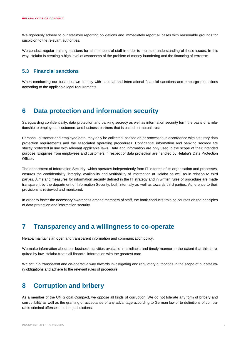We rigorously adhere to our statutory reporting obligations and immediately report all cases with reasonable grounds for suspicion to the relevant authorities.

We conduct regular training sessions for all members of staff in order to increase understanding of these issues. In this way, Helaba is creating a high level of awareness of the problem of money laundering and the financing of terrorism.

#### <span id="page-6-0"></span>**5.3 Financial sanctions**

When conducting our business, we comply with national and international financial sanctions and embargo restrictions according to the applicable legal requirements.

### <span id="page-6-1"></span>**6 Data protection and information security**

Safeguarding confidentiality, data protection and banking secrecy as well as information security form the basis of a relationship to employees, customers and business partners that is based on mutual trust.

Personal, customer and employee data, may only be collected, passed on or processed in accordance with statutory data protection requirements and the associated operating procedures. Confidential information and banking secrecy are strictly protected in line with relevant applicable laws. Data and information are only used in the scope of their intended purpose. Enquiries from employees and customers in respect of data protection are handled by Helaba's Data Protection Officer.

The department of Information Security, which operates independently from IT in terms of its organisation and processes, ensures the confidentiality, integrity, availability and verifiability of information at Helaba as well as in relation to third parties. Aims and measures for information security defined in the IT strategy and in written rules of procedure are made transparent by the department of Information Security, both internally as well as towards third parties. Adherence to their provisions is reviewed and monitored.

In order to foster the necessary awareness among members of staff, the bank conducts training courses on the principles of data protection and information security.

### <span id="page-6-2"></span>**7 Transparency and a willingness to co-operate**

Helaba maintains an open and transparent information and communication policy.

We make information about our business activities available in a reliable and timely manner to the extent that this is required by law. Helaba treats all financial information with the greatest care.

We act in a transparent and co-operative way towards investigating and regulatory authorities in the scope of our statutory obligations and adhere to the relevant rules of procedure.

### <span id="page-6-3"></span>**8 Corruption and bribery**

As a member of the UN Global Compact, we oppose all kinds of corruption. We do not tolerate any form of bribery and corruptibility as well as the granting or acceptance of any advantage according to German law or to definitions of comparable criminal offenses in other jurisdictions.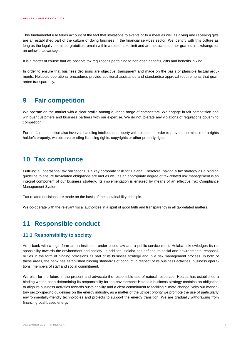This fundamental rule takes account of the fact that invitations to events or to a meal as well as giving and receiving gifts are an established part of the culture of doing business in the financial services sector. We identify with this culture as long as the legally permitted gratuities remain within a reasonable limit and are not accepted nor granted in exchange for an unlawful advantage.

It is a matter of course that we observe tax regulations pertaining to non-cash benefits, gifts and benefits in kind.

In order to ensure that business decisions are objective, transparent and made on the basis of plausible factual arguments, Helaba's operational procedures provide additional assistance and standardise approval requirements that guarantee transparency.

### <span id="page-7-0"></span>**9 Fair competition**

We operate on the market with a clear profile among a varied range of competitors. We engage in fair competition and win over customers and business partners with our expertise. We do not tolerate any violations of regulations governing competition.

For us, fair competition also involves handling intellectual property with respect. In order to prevent the misuse of a rights holder's property, we observe existing licensing rights, copyrights or other property rights.

### <span id="page-7-1"></span>**10 Tax compliance**

Fulfilling all operational tax obligations is a key corporate task for Helaba. Therefore, having a tax strategy as a binding guideline to ensure tax-related obligations are met as well as an appropriate degree of tax-related risk management is an integral component of our business strategy. Its implementation is ensured by means of an effective Tax Compliance Management System.

Tax-related decisions are made on the basis of the sustainability principle.

We co-operate with the relevant fiscal authorities in a spirit of good faith and transparency in all tax-related matters.

### <span id="page-7-2"></span>**11 Responsible conduct**

#### <span id="page-7-3"></span>**11.1 Responsibility to society**

As a bank with a legal form as an institution under public law and a public service remit, Helaba acknowledges its responsibility towards the environment and society. In addition, Helaba has defined its social and environmental responsibilities in the form of binding provisions as part of its business strategy and in a risk management process. In both of these areas, the bank has established binding standards of conduct in respect of its business activities, business operations, members of staff and social commitment.

We plan for the future in the present and advocate the responsible use of natural resources. Helaba has established a binding written code determining its responsibility for the environment: Helaba's business strategy contains an obligation to align its business activities towards sustainability and a clear commitment to tackling climate change. With our mandatory sector-specific guidelines on the energy industry, as a matter of the utmost priority we promote the use of particularly environmentally-friendly technologies and projects to support the energy transition. We are gradually withdrawing from financing coal-based energy.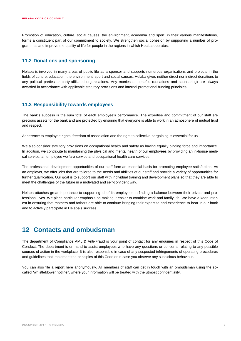Promotion of education, culture, social causes, the environment, academia and sport, in their various manifestations, forms a constituent part of our commitment to society. We strengthen social cohesion by supporting a number of programmes and improve the quality of life for people in the regions in which Helaba operates.

#### <span id="page-8-0"></span>**11.2 Donations and sponsoring**

Helaba is involved in many areas of public life as a sponsor and supports numerous organisations and projects in the fields of culture, education, the environment, sport and social causes. Helaba gives neither direct nor indirect donations to any political parties or party-affiliated organisations. Any monies or benefits (donations and sponsoring) are always awarded in accordance with applicable statutory provisions and internal promotional funding principles.

#### <span id="page-8-1"></span>**11.3 Responsibility towards employees**

The bank's success is the sum total of each employee's performance. The expertise and commitment of our staff are precious assets for the bank and are protected by ensuring that everyone is able to work in an atmosphere of mutual trust and respect.

Adherence to employee rights, freedom of association and the right to collective bargaining is essential for us.

We also consider statutory provisions on occupational health and safety as having equally binding force and importance. In addition, we contribute to maintaining the physical and mental health of our employees by providing an in-house medical service, an employee welfare service and occupational health care services.

The professional development opportunities of our staff form an essential basis for promoting employee satisfaction. As an employer, we offer jobs that are tailored to the needs and abilities of our staff and provide a variety of opportunities for further qualification. Our goal is to support our staff with individual training and development plans so that they are able to meet the challenges of the future in a motivated and self-confident way.

Helaba attaches great importance to supporting all of its employees in finding a balance between their private and professional lives. We place particular emphasis on making it easier to combine work and family life. We have a keen interest in ensuring that mothers and fathers are able to continue bringing their expertise and experience to bear in our bank and to actively participate in Helaba's success.

### <span id="page-8-2"></span>**12 Contacts and ombudsman**

The department of Compliance AML & Anti-Fraud is your point of contact for any enquiries in respect of this Code of Conduct. The department is on hand to assist employees who have any questions or concerns relating to any possible courses of action in the workplace. It is also responsible in case of any suspected infringements of operating procedures and guidelines that implement the principles of this Code or in case you observe any suspicious behaviour.

You can also file a report here anonymously. All members of staff can get in touch with an ombudsman using the socalled "whistleblower hotline", where your information will be treated with the utmost confidentiality.